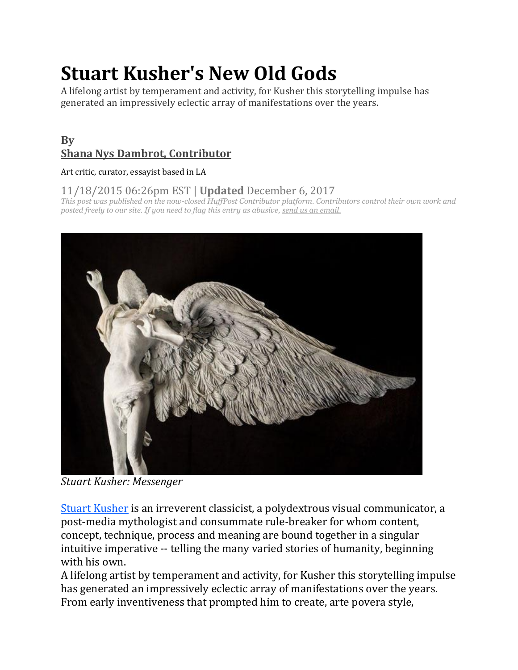# **Stuart Kusher's New Old Gods**

A lifelong artist by temperament and activity, for Kusher this storytelling impulse has generated an impressively eclectic array of manifestations over the years.

# **By [Shana Nys Dambrot, Contributor](https://www.huffpost.com/author/shana-nys-dambrot)**

#### Art critic, curator, essayist based in LA

## 11/18/2015 06:26pm EST | **Updated** December 6, 2017

*This post was published on the now-closed HuffPost Contributor platform. Contributors control their own work and posted freely to our site. If you need to flag this entry as abusive, [send us an email.](mailto:corrections@huffingtonpost.com)*



*Stuart Kusher: Messenger*

[Stuart Kusher](http://www.stuartkusher.com/) is an irreverent classicist, a polydextrous visual communicator, a post-media mythologist and consummate rule-breaker for whom content, concept, technique, process and meaning are bound together in a singular intuitive imperative -- telling the many varied stories of humanity, beginning with his own.

A lifelong artist by temperament and activity, for Kusher this storytelling impulse has generated an impressively eclectic array of manifestations over the years. From early inventiveness that prompted him to create, arte povera style,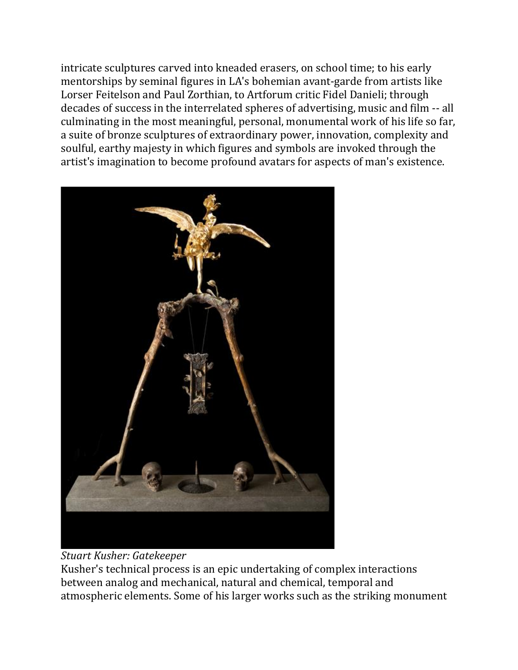intricate sculptures carved into kneaded erasers, on school time; to his early mentorships by seminal figures in LA's bohemian avant-garde from artists like Lorser Feitelson and Paul Zorthian, to Artforum critic Fidel Danieli; through decades of success in the interrelated spheres of advertising, music and film -- all culminating in the most meaningful, personal, monumental work of his life so far, a suite of bronze sculptures of extraordinary power, innovation, complexity and soulful, earthy majesty in which figures and symbols are invoked through the artist's imagination to become profound avatars for aspects of man's existence.



## *Stuart Kusher: Gatekeeper*

Kusher's technical process is an epic undertaking of complex interactions between analog and mechanical, natural and chemical, temporal and atmospheric elements. Some of his larger works such as the striking monument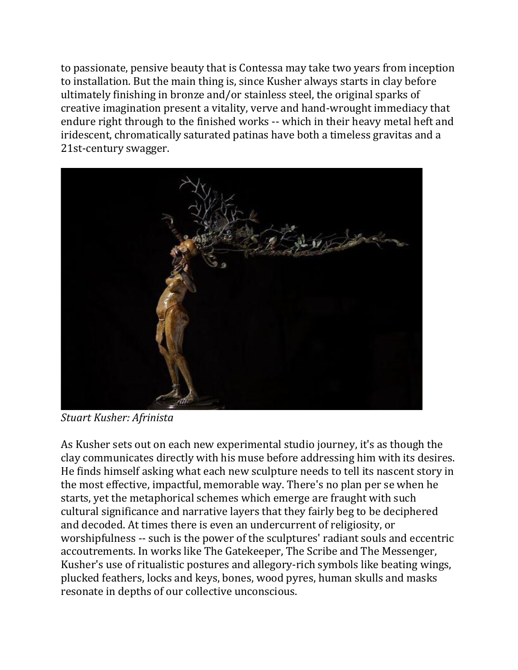to passionate, pensive beauty that is Contessa may take two years from inception to installation. But the main thing is, since Kusher always starts in clay before ultimately finishing in bronze and/or stainless steel, the original sparks of creative imagination present a vitality, verve and hand-wrought immediacy that endure right through to the finished works -- which in their heavy metal heft and iridescent, chromatically saturated patinas have both a timeless gravitas and a 21st-century swagger.



*Stuart Kusher: Afrinista*

As Kusher sets out on each new experimental studio journey, it's as though the clay communicates directly with his muse before addressing him with its desires. He finds himself asking what each new sculpture needs to tell its nascent story in the most effective, impactful, memorable way. There's no plan per se when he starts, yet the metaphorical schemes which emerge are fraught with such cultural significance and narrative layers that they fairly beg to be deciphered and decoded. At times there is even an undercurrent of religiosity, or worshipfulness -- such is the power of the sculptures' radiant souls and eccentric accoutrements. In works like The Gatekeeper, The Scribe and The Messenger, Kusher's use of ritualistic postures and allegory-rich symbols like beating wings, plucked feathers, locks and keys, bones, wood pyres, human skulls and masks resonate in depths of our collective unconscious.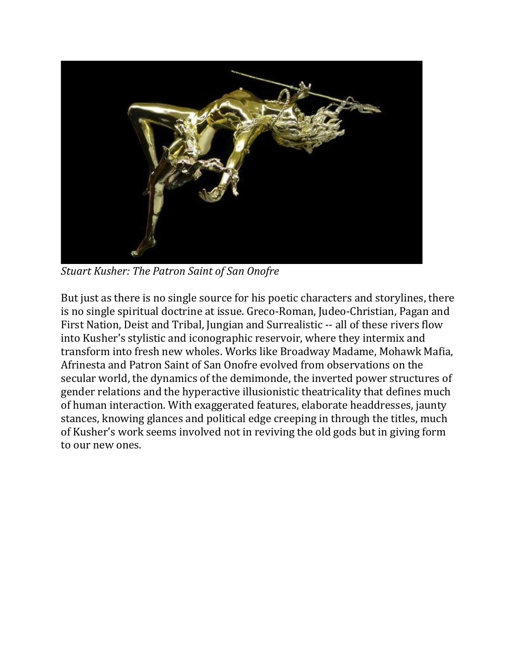

*Stuart Kusher: The Patron Saint of San Onofre*

But just as there is no single source for his poetic characters and storylines, there is no single spiritual doctrine at issue. Greco-Roman, Judeo-Christian, Pagan and First Nation, Deist and Tribal, Jungian and Surrealistic -- all of these rivers flow into Kusher's stylistic and iconographic reservoir, where they intermix and transform into fresh new wholes. Works like Broadway Madame, Mohawk Mafia, Afrinesta and Patron Saint of San Onofre evolved from observations on the secular world, the dynamics of the demimonde, the inverted power structures of gender relations and the hyperactive illusionistic theatricality that defines much of human interaction. With exaggerated features, elaborate headdresses, jaunty stances, knowing glances and political edge creeping in through the titles, much of Kusher's work seems involved not in reviving the old gods but in giving form to our new ones.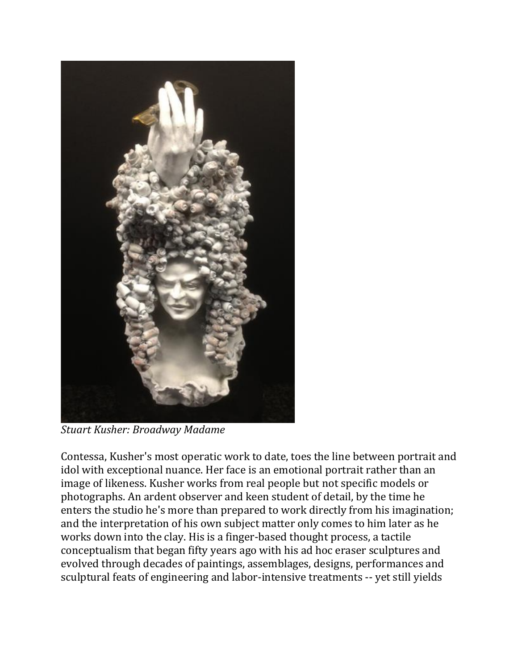

*Stuart Kusher: Broadway Madame*

Contessa, Kusher's most operatic work to date, toes the line between portrait and idol with exceptional nuance. Her face is an emotional portrait rather than an image of likeness. Kusher works from real people but not specific models or photographs. An ardent observer and keen student of detail, by the time he enters the studio he's more than prepared to work directly from his imagination; and the interpretation of his own subject matter only comes to him later as he works down into the clay. His is a finger-based thought process, a tactile conceptualism that began fifty years ago with his ad hoc eraser sculptures and evolved through decades of paintings, assemblages, designs, performances and sculptural feats of engineering and labor-intensive treatments -- yet still yields